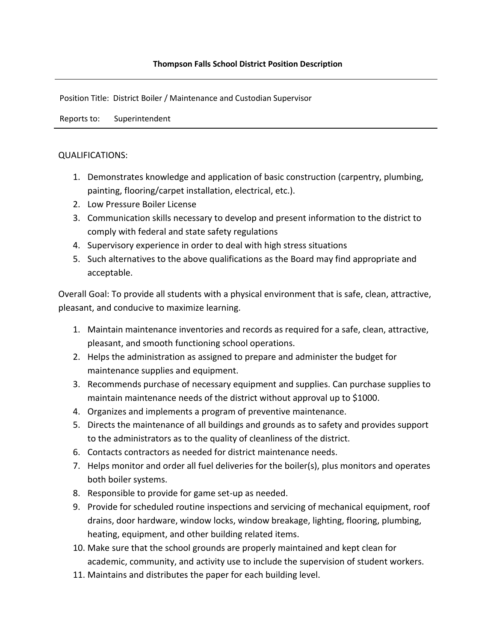Position Title: District Boiler / Maintenance and Custodian Supervisor

Reports to: Superintendent

## QUALIFICATIONS:

- 1. Demonstrates knowledge and application of basic construction (carpentry, plumbing, painting, flooring/carpet installation, electrical, etc.).
- 2. Low Pressure Boiler License
- 3. Communication skills necessary to develop and present information to the district to comply with federal and state safety regulations
- 4. Supervisory experience in order to deal with high stress situations
- 5. Such alternatives to the above qualifications as the Board may find appropriate and acceptable.

Overall Goal: To provide all students with a physical environment that is safe, clean, attractive, pleasant, and conducive to maximize learning.

- 1. Maintain maintenance inventories and records as required for a safe, clean, attractive, pleasant, and smooth functioning school operations.
- 2. Helps the administration as assigned to prepare and administer the budget for maintenance supplies and equipment.
- 3. Recommends purchase of necessary equipment and supplies. Can purchase supplies to maintain maintenance needs of the district without approval up to \$1000.
- 4. Organizes and implements a program of preventive maintenance.
- 5. Directs the maintenance of all buildings and grounds as to safety and provides support to the administrators as to the quality of cleanliness of the district.
- 6. Contacts contractors as needed for district maintenance needs.
- 7. Helps monitor and order all fuel deliveries for the boiler(s), plus monitors and operates both boiler systems.
- 8. Responsible to provide for game set-up as needed.
- 9. Provide for scheduled routine inspections and servicing of mechanical equipment, roof drains, door hardware, window locks, window breakage, lighting, flooring, plumbing, heating, equipment, and other building related items.
- 10. Make sure that the school grounds are properly maintained and kept clean for academic, community, and activity use to include the supervision of student workers.
- 11. Maintains and distributes the paper for each building level.